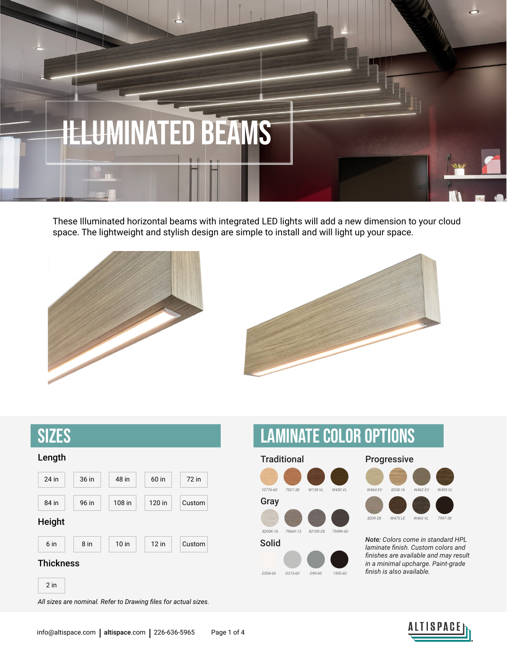

These Illuminated horizontal beams with integrated LED lights will add a new dimension to your cloud space. The lightweight and stylish design are simple to install and will light up your space.





| <b>SIZES</b>     |        |         |         |        |  |  |
|------------------|--------|---------|---------|--------|--|--|
| Length           |        |         |         |        |  |  |
| 24 in            | 36 in  | 48 in   | 60 in   | 72 in  |  |  |
| 84 in            | 96 in  | 108 in  | 120 in  | Custom |  |  |
| Height           |        |         |         |        |  |  |
| 6 in             | $8$ in | $10$ in | $12$ in | Custom |  |  |
| <b>Thickness</b> |        |         |         |        |  |  |
| $2$ in           |        |         |         |        |  |  |

Laminate Color options





Solid *Note: Colors come in standard HPL laminate finish. Custom colors and finishes are available and may result in a minimal upcharge. Paint-grade finish is also available.*

*All sizes are nominal. Refer to Drawing files for actual sizes.*

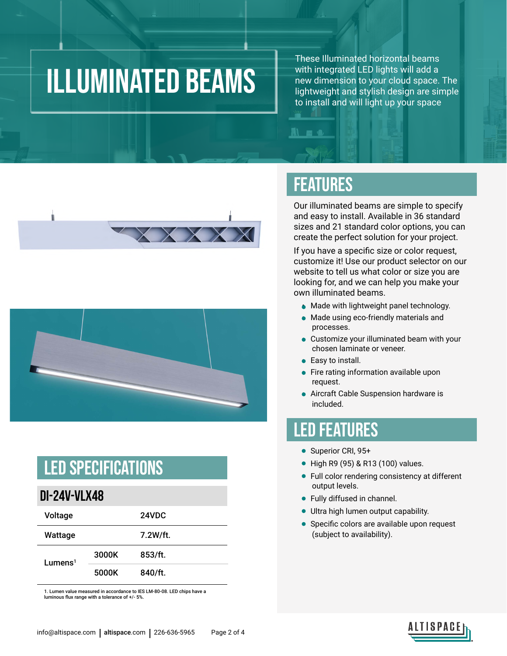### ILLUMINATED beams

These Illuminated horizontal beams with integrated LED lights will add a new dimension to your cloud space. The lightweight and stylish design are simple to install and will light up your space





#### LED Specifications

#### **DI-24V-VLX48**

| Voltage                |       | 24VDC    |
|------------------------|-------|----------|
| Wattage                |       | 7.2W/ft. |
| $L$ umens <sup>1</sup> | 3000K | 853/ft.  |
|                        | 5000K | 840/ft.  |

1. Lumen value measured in accordance to IES LM-80-08. LED chips have a luminous flux range with a tolerance of +/- 5%.

#### FEATURES

**IN EX 18** 

Our illuminated beams are simple to specify and easy to install. Available in 36 standard sizes and 21 standard color options, you can create the perfect solution for your project.

If you have a specific size or color request, customize it! Use our product selector on our website to tell us what color or size you are looking for, and we can help you make your own illuminated beams.

- Made with lightweight panel technology.
- Made using eco-friendly materials and processes.
- Customize your illuminated beam with your chosen laminate or veneer.
- Easy to install.
- Fire rating information available upon request.
- Aircraft Cable Suspension hardware is included.

#### LED FEATURES

- Superior CRI, 95+
- High R9 (95) & R13 (100) values.
- Full color rendering consistency at different output levels.
- Fully diffused in channel.
- Ultra high lumen output capability.
- Specific colors are available upon request (subject to availability).



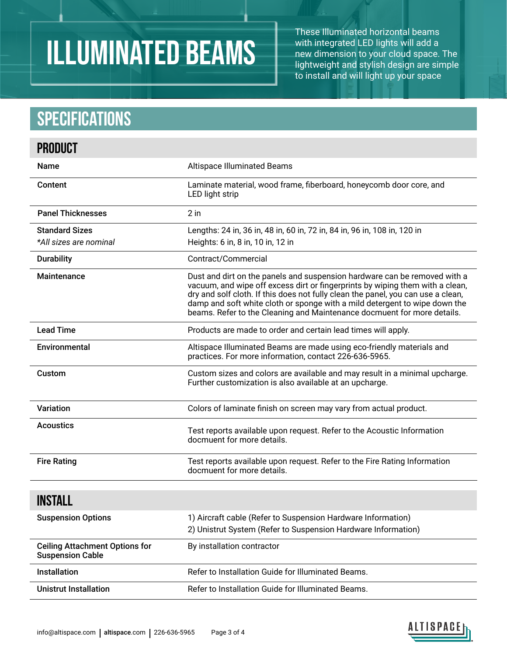# Illuminated beams

These Illuminated horizontal beams with integrated LED lights will add a new dimension to your cloud space. The lightweight and stylish design are simple to install and will light up your space

### **Specifications**

| <b>PRODUCT</b>                                                   |                                                                                                                                                                                                                                                                                                                                                                                                         |  |
|------------------------------------------------------------------|---------------------------------------------------------------------------------------------------------------------------------------------------------------------------------------------------------------------------------------------------------------------------------------------------------------------------------------------------------------------------------------------------------|--|
| <b>Name</b>                                                      | <b>Altispace Illuminated Beams</b>                                                                                                                                                                                                                                                                                                                                                                      |  |
| Content                                                          | Laminate material, wood frame, fiberboard, honeycomb door core, and<br>LED light strip                                                                                                                                                                                                                                                                                                                  |  |
| <b>Panel Thicknesses</b>                                         | $2$ in                                                                                                                                                                                                                                                                                                                                                                                                  |  |
| <b>Standard Sizes</b>                                            | Lengths: 24 in, 36 in, 48 in, 60 in, 72 in, 84 in, 96 in, 108 in, 120 in                                                                                                                                                                                                                                                                                                                                |  |
| *All sizes are nominal                                           | Heights: 6 in, 8 in, 10 in, 12 in                                                                                                                                                                                                                                                                                                                                                                       |  |
| <b>Durability</b>                                                | Contract/Commercial                                                                                                                                                                                                                                                                                                                                                                                     |  |
| Maintenance                                                      | Dust and dirt on the panels and suspension hardware can be removed with a<br>vacuum, and wipe off excess dirt or fingerprints by wiping them with a clean,<br>dry and solf cloth. If this does not fully clean the panel, you can use a clean,<br>damp and soft white cloth or sponge with a mild detergent to wipe down the<br>beams. Refer to the Cleaning and Maintenance docmuent for more details. |  |
| <b>Lead Time</b>                                                 | Products are made to order and certain lead times will apply.                                                                                                                                                                                                                                                                                                                                           |  |
| Environmental                                                    | Altispace Illuminated Beams are made using eco-friendly materials and<br>practices. For more information, contact 226-636-5965.                                                                                                                                                                                                                                                                         |  |
| Custom                                                           | Custom sizes and colors are available and may result in a minimal upcharge.<br>Further customization is also available at an upcharge.                                                                                                                                                                                                                                                                  |  |
| Variation                                                        | Colors of laminate finish on screen may vary from actual product.                                                                                                                                                                                                                                                                                                                                       |  |
| <b>Acoustics</b>                                                 | Test reports available upon request. Refer to the Acoustic Information<br>docmuent for more details.                                                                                                                                                                                                                                                                                                    |  |
| <b>Fire Rating</b>                                               | Test reports available upon request. Refer to the Fire Rating Information<br>docmuent for more details.                                                                                                                                                                                                                                                                                                 |  |
| <b>INSTALL</b>                                                   |                                                                                                                                                                                                                                                                                                                                                                                                         |  |
| <b>Suspension Options</b>                                        | 1) Aircraft cable (Refer to Suspension Hardware Information)<br>2) Unistrut System (Refer to Suspension Hardware Information)                                                                                                                                                                                                                                                                           |  |
| <b>Ceiling Attachment Options for</b><br><b>Suspension Cable</b> | By installation contractor                                                                                                                                                                                                                                                                                                                                                                              |  |
| Installation                                                     | Refer to Installation Guide for Illuminated Beams.                                                                                                                                                                                                                                                                                                                                                      |  |
| <b>Unistrut Installation</b>                                     | Refer to Installation Guide for Illuminated Beams.                                                                                                                                                                                                                                                                                                                                                      |  |